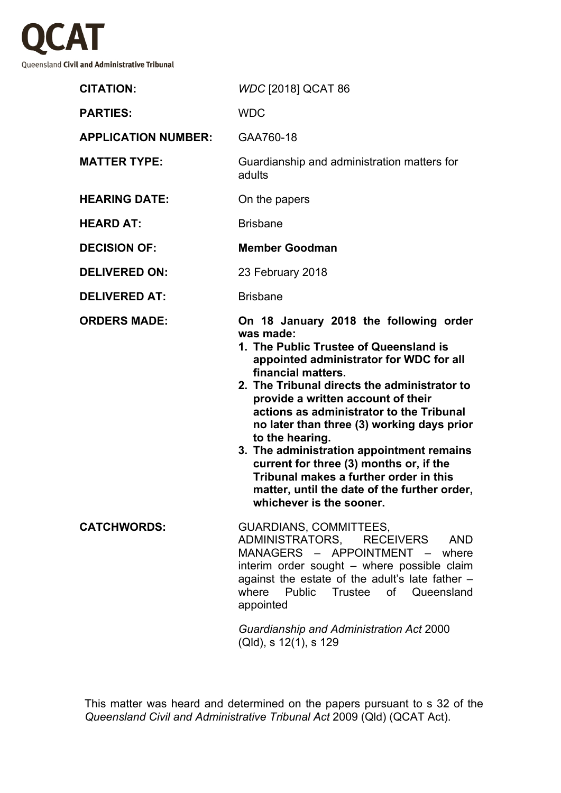

| <b>CITATION:</b>           | WDC [2018] QCAT 86                                                                                                                                                                                                                                                                                                                                                                                                                                                                                                                                                              |
|----------------------------|---------------------------------------------------------------------------------------------------------------------------------------------------------------------------------------------------------------------------------------------------------------------------------------------------------------------------------------------------------------------------------------------------------------------------------------------------------------------------------------------------------------------------------------------------------------------------------|
| <b>PARTIES:</b>            | <b>WDC</b>                                                                                                                                                                                                                                                                                                                                                                                                                                                                                                                                                                      |
| <b>APPLICATION NUMBER:</b> | GAA760-18                                                                                                                                                                                                                                                                                                                                                                                                                                                                                                                                                                       |
| <b>MATTER TYPE:</b>        | Guardianship and administration matters for<br>adults                                                                                                                                                                                                                                                                                                                                                                                                                                                                                                                           |
| <b>HEARING DATE:</b>       | On the papers                                                                                                                                                                                                                                                                                                                                                                                                                                                                                                                                                                   |
| <b>HEARD AT:</b>           | <b>Brisbane</b>                                                                                                                                                                                                                                                                                                                                                                                                                                                                                                                                                                 |
| <b>DECISION OF:</b>        | <b>Member Goodman</b>                                                                                                                                                                                                                                                                                                                                                                                                                                                                                                                                                           |
| <b>DELIVERED ON:</b>       | 23 February 2018                                                                                                                                                                                                                                                                                                                                                                                                                                                                                                                                                                |
| <b>DELIVERED AT:</b>       | <b>Brisbane</b>                                                                                                                                                                                                                                                                                                                                                                                                                                                                                                                                                                 |
| <b>ORDERS MADE:</b>        | On 18 January 2018 the following order<br>was made:<br>1. The Public Trustee of Queensland is<br>appointed administrator for WDC for all<br>financial matters.<br>2. The Tribunal directs the administrator to<br>provide a written account of their<br>actions as administrator to the Tribunal<br>no later than three (3) working days prior<br>to the hearing.<br>3. The administration appointment remains<br>current for three (3) months or, if the<br>Tribunal makes a further order in this<br>matter, until the date of the further order,<br>whichever is the sooner. |
| <b>CATCHWORDS:</b>         | <b>GUARDIANS, COMMITTEES,</b><br>ADMINISTRATORS, RECEIVERS AND<br>MANAGERS - APPOINTMENT - where<br>interim order sought - where possible claim<br>against the estate of the adult's late father -<br>Public<br>Trustee<br>of<br>Queensland<br>where<br>appointed                                                                                                                                                                                                                                                                                                               |
|                            | Guardianship and Administration Act 2000<br>(Qld), s 12(1), s 129                                                                                                                                                                                                                                                                                                                                                                                                                                                                                                               |

This matter was heard and determined on the papers pursuant to s 32 of the *Queensland Civil and Administrative Tribunal Act* 2009 (Qld) (QCAT Act).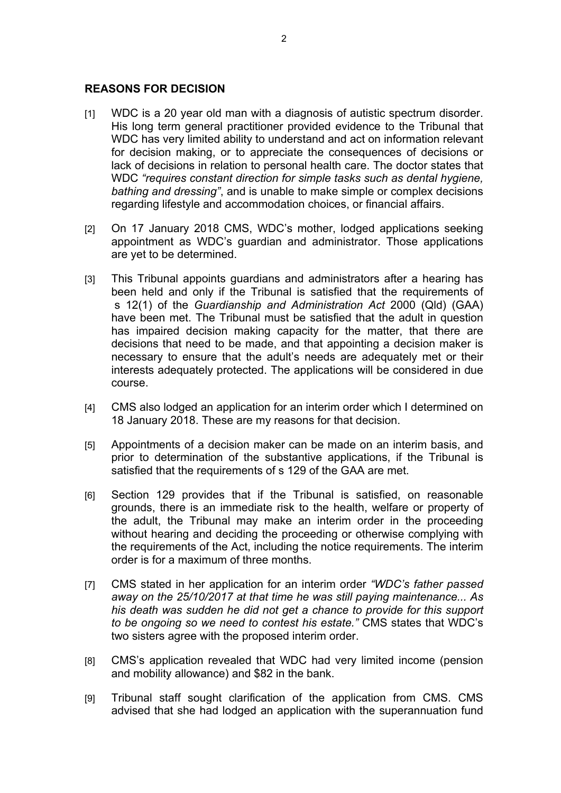## **REASONS FOR DECISION**

- [1] WDC is a 20 year old man with a diagnosis of autistic spectrum disorder. His long term general practitioner provided evidence to the Tribunal that WDC has very limited ability to understand and act on information relevant for decision making, or to appreciate the consequences of decisions or lack of decisions in relation to personal health care. The doctor states that WDC *"requires constant direction for simple tasks such as dental hygiene, bathing and dressing"*, and is unable to make simple or complex decisions regarding lifestyle and accommodation choices, or financial affairs.
- [2] On 17 January 2018 CMS, WDC's mother, lodged applications seeking appointment as WDC's guardian and administrator. Those applications are yet to be determined.
- [3] This Tribunal appoints guardians and administrators after a hearing has been held and only if the Tribunal is satisfied that the requirements of s 12(1) of the *Guardianship and Administration Act* 2000 (Qld) (GAA) have been met. The Tribunal must be satisfied that the adult in question has impaired decision making capacity for the matter, that there are decisions that need to be made, and that appointing a decision maker is necessary to ensure that the adult's needs are adequately met or their interests adequately protected. The applications will be considered in due course.
- [4] CMS also lodged an application for an interim order which I determined on 18 January 2018. These are my reasons for that decision.
- [5] Appointments of a decision maker can be made on an interim basis, and prior to determination of the substantive applications, if the Tribunal is satisfied that the requirements of s 129 of the GAA are met.
- [6] Section 129 provides that if the Tribunal is satisfied, on reasonable grounds, there is an immediate risk to the health, welfare or property of the adult, the Tribunal may make an interim order in the proceeding without hearing and deciding the proceeding or otherwise complying with the requirements of the Act, including the notice requirements. The interim order is for a maximum of three months.
- [7] CMS stated in her application for an interim order *"WDC's father passed away on the 25/10/2017 at that time he was still paying maintenance... As his death was sudden he did not get a chance to provide for this support to be ongoing so we need to contest his estate."* CMS states that WDC's two sisters agree with the proposed interim order.
- [8] CMS's application revealed that WDC had very limited income (pension and mobility allowance) and \$82 in the bank.
- [9] Tribunal staff sought clarification of the application from CMS. CMS advised that she had lodged an application with the superannuation fund